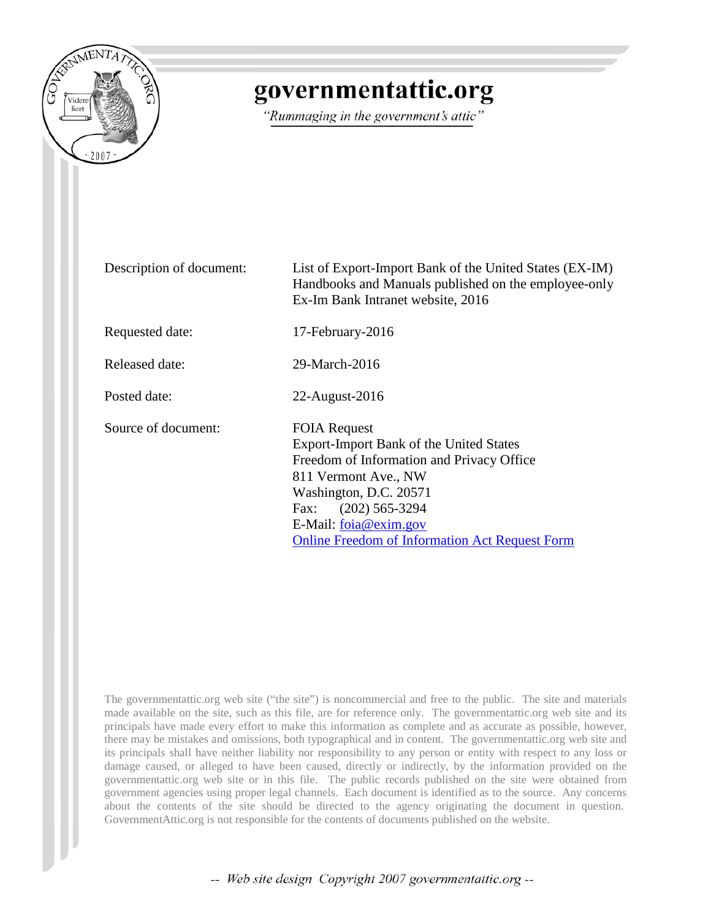

## governmentattic.org

"Rummaging in the government's attic"

Description of document: List of Export-Import Bank of the United States (EX-IM) Handbooks and Manuals published on the employee-only Ex-Im Bank Intranet website, 2016 Requested date: 17-February-2016 Released date: 29-March-2016 Posted date: 22-August-2016 Source of document: FOIA Request Export-Import Bank of the United States Freedom of Information and Privacy Office 811 Vermont Ave., NW Washington, D.C. 20571 Fax: (202) 565-3294 E-Mail: [foia@exim.gov](mailto:foia@exim.gov) [Online Freedom of Information Act Request Form](http://www.exim.gov/about/library/foia/foia-request-form.cfm)

The governmentattic.org web site ("the site") is noncommercial and free to the public. The site and materials made available on the site, such as this file, are for reference only. The governmentattic.org web site and its principals have made every effort to make this information as complete and as accurate as possible, however, there may be mistakes and omissions, both typographical and in content. The governmentattic.org web site and its principals shall have neither liability nor responsibility to any person or entity with respect to any loss or damage caused, or alleged to have been caused, directly or indirectly, by the information provided on the governmentattic.org web site or in this file. The public records published on the site were obtained from government agencies using proper legal channels. Each document is identified as to the source. Any concerns about the contents of the site should be directed to the agency originating the document in question. GovernmentAttic.org is not responsible for the contents of documents published on the website.

-- Web site design Copyright 2007 governmentattic.org --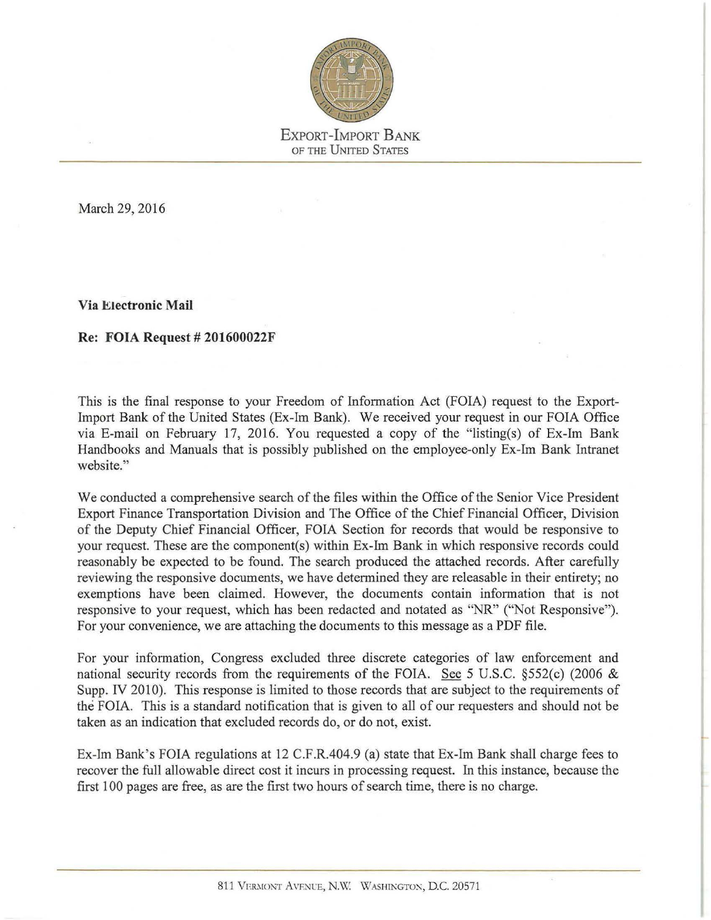

March 29, 2016

**Via Electronic Mail** 

#### **Re: FOIA Request# 201600022F**

This is the final response to your Freedom of Information Act (FOIA) request to the Export-Import Bank of the United States (Ex-Im Bank). We received your request in our FOIA Office via E-mail on February 17, 2016. You requested a copy of the "listing(s) of Ex-Im Bank Handbooks and Manuals that is possibly published on the employee-only Ex-Im Bank Intranet website."

We conducted a comprehensive search of the files within the Office of the Senior Vice President Export Finance Transportation Division and The Office of the Chief Financial Officer, Division of the Deputy Chief Financial Officer, FOIA Section for records that would be responsive to your request. These are the component(s) within Ex-Im Bank in which responsive records could reasonably be expected to be found. The search produced the attached records. After carefully reviewing the responsive documents, we have determined they are releasable in their entirety; no exemptions have been claimed. However, the documents contain information that is not responsive to your request, which has been redacted and notated as "NR" ("Not Responsive"). For your convenience, we are attaching the documents to this message as a PDF file.

For your information, Congress excluded three discrete categories of law enforcement and national security records from the requirements of the FOIA. See 5 U.S.C. §552(c) (2006 & Supp. IV 2010). This response is limited to those records that are subject to the requirements of the FOIA. This is a standard notification that is given to all of our requesters and should not be taken as an indication that excluded records do, or do not, exist.

Ex-Im Bank's FOIA regulations at 12 C.F.R.404.9 (a) state that Ex-Im Bank shall charge fees to recover the full allowable direct cost it incurs in processing request. In this instance, because the first 100 pages are free, as are the first two hours of search time, there is no charge.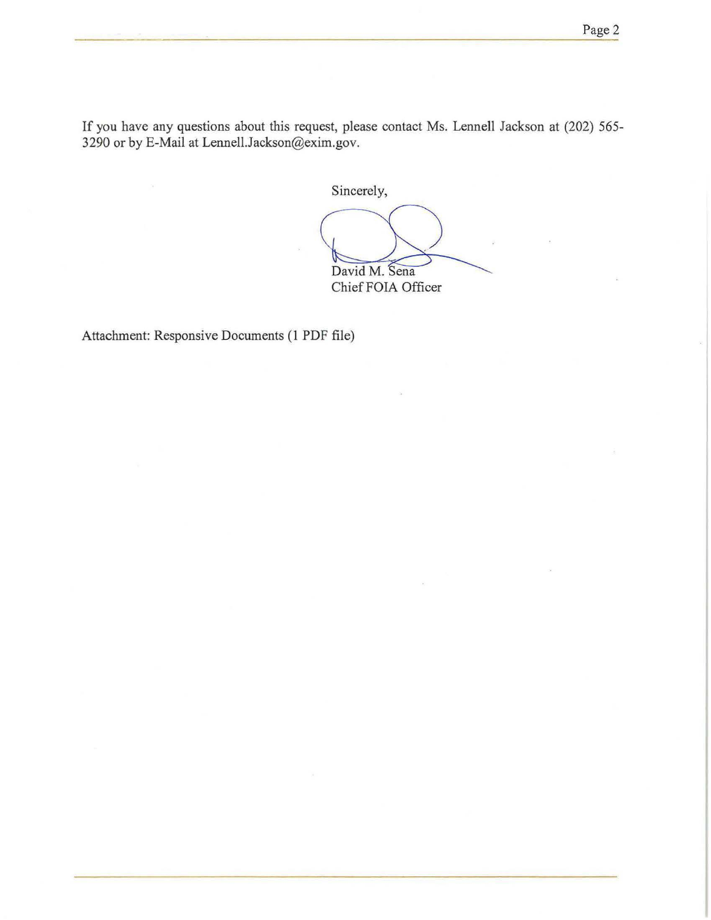If you have any questions about this request, please contact Ms. Lennell Jackson at (202) 565- 3290 or by E-Mail at Lennell.Jackson@exim.gov.

Sincerely,

David M. Sena ChiefFOIA Officer

Attachment: Responsive Documents (I PDF file)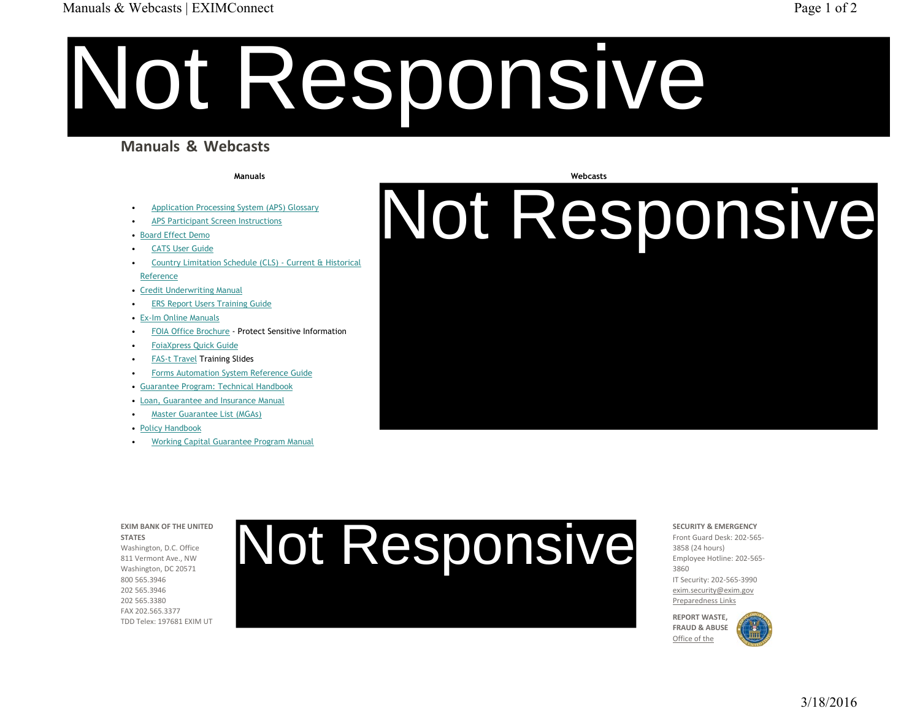#### Manuals & Webcasts | EXIMConnect Page 1 of 2

# Not Responsive

### **Manuals & Webcasts**

**Manuals**

- •Application Processing System (APS) Glossary
- •APS Participant Screen Instructions
- Board Effect Demo
- •CATS User Guide
- • Country Limitation Schedule (CLS) - Current & Historical Reference
- Credit Underwriting Manual
- •ERS Report Users Training Guide
- Ex-Im Online Manuals
- •FOIA Office Brochure - Protect Sensitive Information
- •FoiaXpress Quick Guide
- •FAS-t Travel Training Slides
- •Forms Automation System Reference Guide
- Guarantee Program: Technical Handbook
- Loan, Guarantee and Insurance Manual
- •Master Guarantee List (MGAs)
- Policy Handbook
- •Working Capital Guarantee Program Manual

#### **Webcasts**

Not Responsive

**STATES**Washington, D.C. Office 811 Vermont Ave., NW Washington, DC 20571 800 565.3946

**EXIM BANK OF THE UNITED** 

202 565.3946202 565.3380FAX 202.565.3377TDD Telex: 197681 EXIM UT

# Not Responsive

**SECURITY & EMERGENCY**Front Guard Desk: 202-565-3858 (24 hours) Employee Hotline: 202-565-3860IT Security: 202-565-3990 exim.security@exim.gov

Preparedness Links **REPORT WASTE,** 

**FRAUD & ABUSE**Office of the